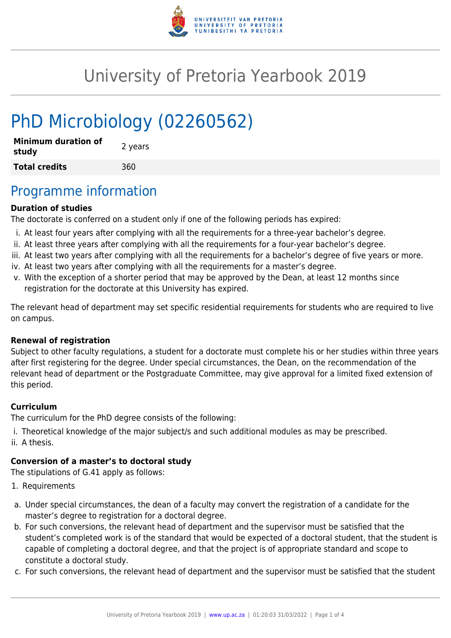

# University of Pretoria Yearbook 2019

# PhD Microbiology (02260562)

| <b>Minimum duration of</b><br>study | 2 years |
|-------------------------------------|---------|
| <b>Total credits</b>                | 360     |

## Programme information

#### **Duration of studies**

The doctorate is conferred on a student only if one of the following periods has expired:

- i. At least four years after complying with all the requirements for a three-year bachelor's degree.
- ii. At least three years after complying with all the requirements for a four-year bachelor's degree.
- iii. At least two years after complying with all the requirements for a bachelor's degree of five years or more.
- iv. At least two years after complying with all the requirements for a master's degree.
- v. With the exception of a shorter period that may be approved by the Dean, at least 12 months since registration for the doctorate at this University has expired.

The relevant head of department may set specific residential requirements for students who are required to live on campus.

#### **Renewal of registration**

Subject to other faculty regulations, a student for a doctorate must complete his or her studies within three years after first registering for the degree. Under special circumstances, the Dean, on the recommendation of the relevant head of department or the Postgraduate Committee, may give approval for a limited fixed extension of this period.

#### **Curriculum**

The curriculum for the PhD degree consists of the following:

- i. Theoretical knowledge of the major subject/s and such additional modules as may be prescribed.
- ii. A thesis.

#### **Conversion of a master's to doctoral study**

The stipulations of G.41 apply as follows:

- 1. Requirements
- a. Under special circumstances, the dean of a faculty may convert the registration of a candidate for the master's degree to registration for a doctoral degree.
- b. For such conversions, the relevant head of department and the supervisor must be satisfied that the student's completed work is of the standard that would be expected of a doctoral student, that the student is capable of completing a doctoral degree, and that the project is of appropriate standard and scope to constitute a doctoral study.
- c. For such conversions, the relevant head of department and the supervisor must be satisfied that the student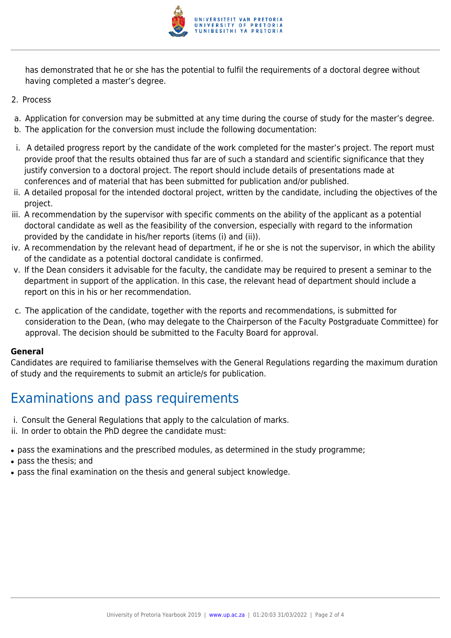

has demonstrated that he or she has the potential to fulfil the requirements of a doctoral degree without having completed a master's degree.

- 2. Process
- a. Application for conversion may be submitted at any time during the course of study for the master's degree.
- b. The application for the conversion must include the following documentation:
- i. A detailed progress report by the candidate of the work completed for the master's project. The report must provide proof that the results obtained thus far are of such a standard and scientific significance that they justify conversion to a doctoral project. The report should include details of presentations made at conferences and of material that has been submitted for publication and/or published.
- ii. A detailed proposal for the intended doctoral project, written by the candidate, including the objectives of the project.
- iii. A recommendation by the supervisor with specific comments on the ability of the applicant as a potential doctoral candidate as well as the feasibility of the conversion, especially with regard to the information provided by the candidate in his/her reports (items (i) and (ii)).
- iv. A recommendation by the relevant head of department, if he or she is not the supervisor, in which the ability of the candidate as a potential doctoral candidate is confirmed.
- v. If the Dean considers it advisable for the faculty, the candidate may be required to present a seminar to the department in support of the application. In this case, the relevant head of department should include a report on this in his or her recommendation.
- c. The application of the candidate, together with the reports and recommendations, is submitted for consideration to the Dean, (who may delegate to the Chairperson of the Faculty Postgraduate Committee) for approval. The decision should be submitted to the Faculty Board for approval.

#### **General**

Candidates are required to familiarise themselves with the General Regulations regarding the maximum duration of study and the requirements to submit an article/s for publication.

# Examinations and pass requirements

- i. Consult the General Regulations that apply to the calculation of marks.
- ii. In order to obtain the PhD degree the candidate must:
- pass the examinations and the prescribed modules, as determined in the study programme;
- pass the thesis; and
- pass the final examination on the thesis and general subject knowledge.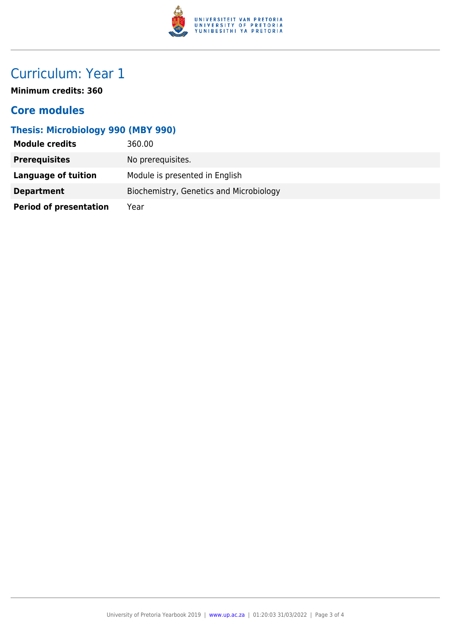

# Curriculum: Year 1

**Minimum credits: 360**

### **Core modules**

### **Thesis: Microbiology 990 (MBY 990)**

| <b>Module credits</b>         | 360.00                                  |
|-------------------------------|-----------------------------------------|
| <b>Prerequisites</b>          | No prerequisites.                       |
| Language of tuition           | Module is presented in English          |
| <b>Department</b>             | Biochemistry, Genetics and Microbiology |
| <b>Period of presentation</b> | Year                                    |